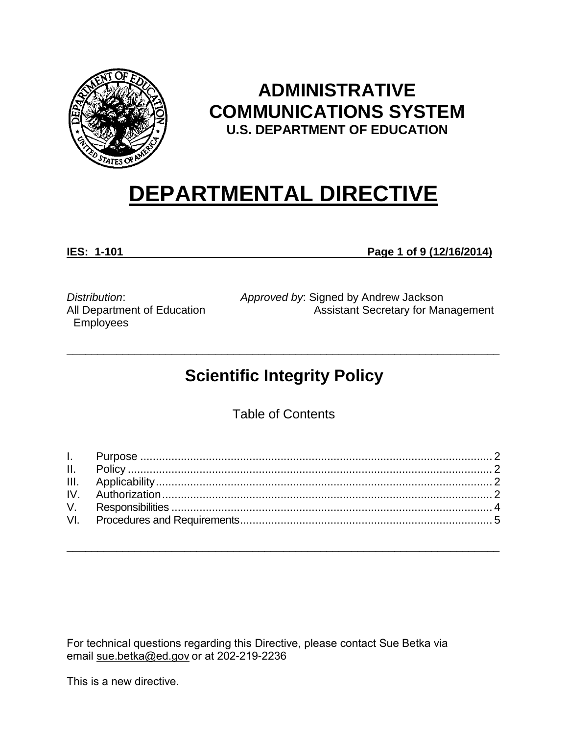

# **ADMINISTRATIVE COMMUNICATIONS SYSTEM U.S. DEPARTMENT OF EDUCATION**

# **DEPARTMENTAL DIRECTIVE**

**IES: 1-101 Page 1 of 9 (12/16/2014)**

*Distribution*: All Department of Education Employees

*Approved by*: Signed by Andrew Jackson Assistant Secretary for Management

# **Scientific Integrity Policy**

\_\_\_\_\_\_\_\_\_\_\_\_\_\_\_\_\_\_\_\_\_\_\_\_\_\_\_\_\_\_\_\_\_\_\_\_\_\_\_\_\_\_\_\_\_\_\_\_\_\_\_\_\_\_\_\_\_\_\_\_\_\_\_\_\_\_\_\_\_\_

Table of Contents

\_\_\_\_\_\_\_\_\_\_\_\_\_\_\_\_\_\_\_\_\_\_\_\_\_\_\_\_\_\_\_\_\_\_\_\_\_\_\_\_\_\_\_\_\_\_\_\_\_\_\_\_\_\_\_\_\_\_\_\_\_\_\_\_\_\_\_\_\_\_

For technical questions regarding this Directive, please contact Sue Betka via email [sue.betka@ed.gov](mailto:sue.betka@ed.gov) or at 202-219-2236

This is a new directive.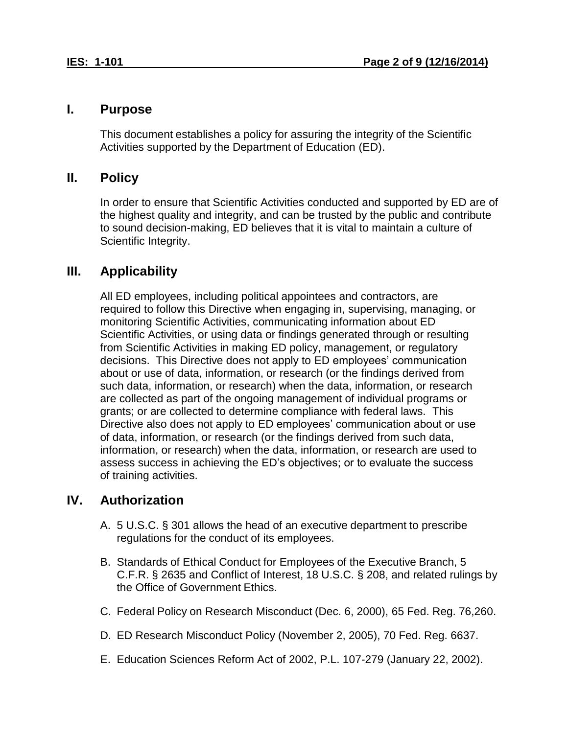#### <span id="page-1-0"></span>**I. Purpose**

This document establishes a policy for assuring the integrity of the Scientific Activities supported by the Department of Education (ED).

### <span id="page-1-1"></span>**II. Policy**

In order to ensure that Scientific Activities conducted and supported by ED are of the highest quality and integrity, and can be trusted by the public and contribute to sound decision-making, ED believes that it is vital to maintain a culture of Scientific Integrity.

# <span id="page-1-2"></span>**III. Applicability**

All ED employees, including political appointees and contractors, are required to follow this Directive when engaging in, supervising, managing, or monitoring Scientific Activities, communicating information about ED Scientific Activities, or using data or findings generated through or resulting from Scientific Activities in making ED policy, management, or regulatory decisions. This Directive does not apply to ED employees' communication about or use of data, information, or research (or the findings derived from such data, information, or research) when the data, information, or research are collected as part of the ongoing management of individual programs or grants; or are collected to determine compliance with federal laws. This Directive also does not apply to ED employees' communication about or use of data, information, or research (or the findings derived from such data, information, or research) when the data, information, or research are used to assess success in achieving the ED's objectives; or to evaluate the success of training activities.

# <span id="page-1-3"></span>**IV. Authorization**

- A. 5 U.S.C. § 301 allows the head of an executive department to prescribe regulations for the conduct of its employees.
- B. Standards of Ethical Conduct for Employees of the Executive Branch, 5 C.F.R. § 2635 and Conflict of Interest, 18 U.S.C. § 208, and related rulings by the Office of Government Ethics.
- C. Federal Policy on Research Misconduct (Dec. 6, 2000), 65 Fed. Reg. 76,260.
- D. ED Research Misconduct Policy (November 2, 2005), 70 Fed. Reg. 6637.
- E. Education Sciences Reform Act of 2002, P.L. 107-279 (January 22, 2002).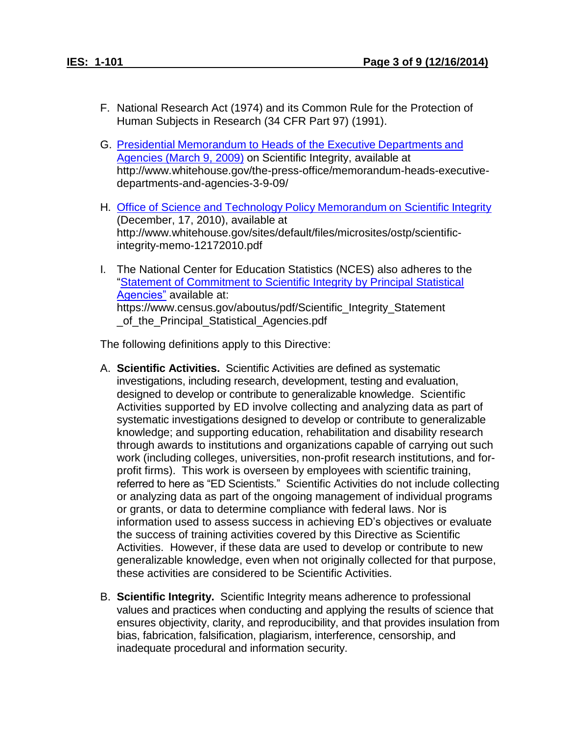- F. National Research Act (1974) and its Common Rule for the Protection of Human Subjects in Research (34 CFR Part 97) (1991).
- G. Presidential [Memorandum](http://www.whitehouse.gov/the-press-office/memorandum-heads-executive-departments-and-agencies-3-9-09/) to Heads of the Executive Departments and [Agencies](http://www.whitehouse.gov/the-press-office/memorandum-heads-executive-departments-and-agencies-3-9-09/) (March 9, 2009) on Scientific Integrity, available at http://www.whitehouse.gov/the-press-office/memorandum-heads-executivedepartments-and-agencies-3-9-09/
- H. Office of Science and Technology Policy [Memorandum](http://www.whitehouse.gov/sites/default/files/microsites/ostp/scientific-integrity-memo-12172010.pdf) on Scientific Integrity (December, 17, 2010), available at http://www.whitehouse.gov/sites/default/files/microsites/ostp/scientificintegrity-memo-12172010.pdf
- I. The National Center for Education Statistics (NCES) also adheres to the ["Statement of Commitment to Scientific Integrity by Principal Statistical](https://www.census.gov/aboutus/pdf/Scientific_Integrity_Statement_of_the_Principal_Statistical_Agencies.pdf)  [Agencies"](https://www.census.gov/aboutus/pdf/Scientific_Integrity_Statement_of_the_Principal_Statistical_Agencies.pdf) available at: https://www.census.gov/aboutus/pdf/Scientific\_Integrity\_Statement of the Principal Statistical Agencies.pdf

The following definitions apply to this Directive:

- A. **Scientific Activities.** Scientific Activities are defined as systematic investigations, including research, development, testing and evaluation, designed to develop or contribute to generalizable knowledge. Scientific Activities supported by ED involve collecting and analyzing data as part of systematic investigations designed to develop or contribute to generalizable knowledge; and supporting education, rehabilitation and disability research through awards to institutions and organizations capable of carrying out such work (including colleges, universities, non-profit research institutions, and forprofit firms). This work is overseen by employees with scientific training, referred to here as "ED Scientists." Scientific Activities do not include collecting or analyzing data as part of the ongoing management of individual programs or grants, or data to determine compliance with federal laws. Nor is information used to assess success in achieving ED's objectives or evaluate the success of training activities covered by this Directive as Scientific Activities. However, if these data are used to develop or contribute to new generalizable knowledge, even when not originally collected for that purpose, these activities are considered to be Scientific Activities.
- B. **Scientific Integrity.** Scientific Integrity means adherence to professional values and practices when conducting and applying the results of science that ensures objectivity, clarity, and reproducibility, and that provides insulation from bias, fabrication, falsification, plagiarism, interference, censorship, and inadequate procedural and information security.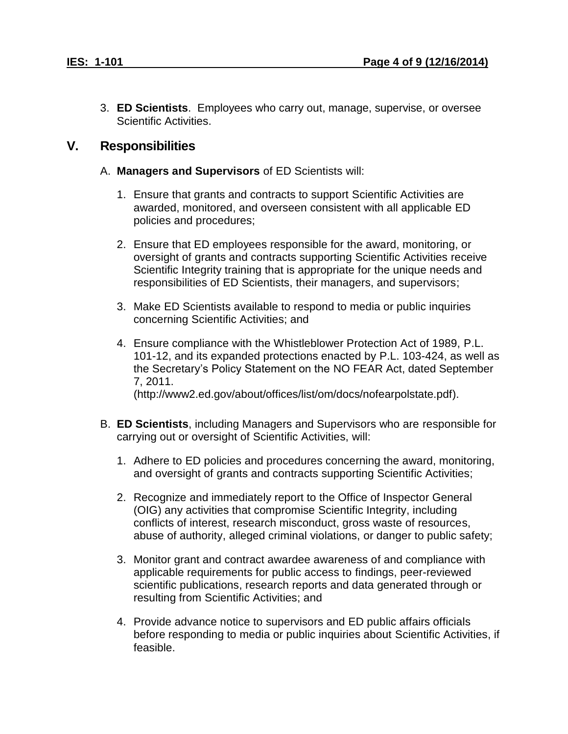3. **ED Scientists**. Employees who carry out, manage, supervise, or oversee Scientific Activities.

#### <span id="page-3-0"></span>**V. Responsibilities**

- A. **Managers and Supervisors** of ED Scientists will:
	- 1. Ensure that grants and contracts to support Scientific Activities are awarded, monitored, and overseen consistent with all applicable ED policies and procedures;
	- 2. Ensure that ED employees responsible for the award, monitoring, or oversight of grants and contracts supporting Scientific Activities receive Scientific Integrity training that is appropriate for the unique needs and responsibilities of ED Scientists, their managers, and supervisors;
	- 3. Make ED Scientists available to respond to media or public inquiries concerning Scientific Activities; and
	- 4. Ensure compliance with the Whistleblower Protection Act of 1989, P.L. 101-12, and its expanded protections enacted by P.L. 103-424, as well as the Secretary's Policy Statement on the NO FEAR Act, dated September 7, 2011. (http://www2.ed.gov/about/offices/list/om/docs/nofearpolstate.pdf).
- B. **ED Scientists**, including Managers and Supervisors who are responsible for carrying out or oversight of Scientific Activities, will:
	- 1. Adhere to ED policies and procedures concerning the award, monitoring, and oversight of grants and contracts supporting Scientific Activities;
	- 2. Recognize and immediately report to the Office of Inspector General (OIG) any activities that compromise Scientific Integrity, including conflicts of interest, research misconduct, gross waste of resources, abuse of authority, alleged criminal violations, or danger to public safety;
	- 3. Monitor grant and contract awardee awareness of and compliance with applicable requirements for public access to findings, peer-reviewed scientific publications, research reports and data generated through or resulting from Scientific Activities; and
	- 4. Provide advance notice to supervisors and ED public affairs officials before responding to media or public inquiries about Scientific Activities, if feasible.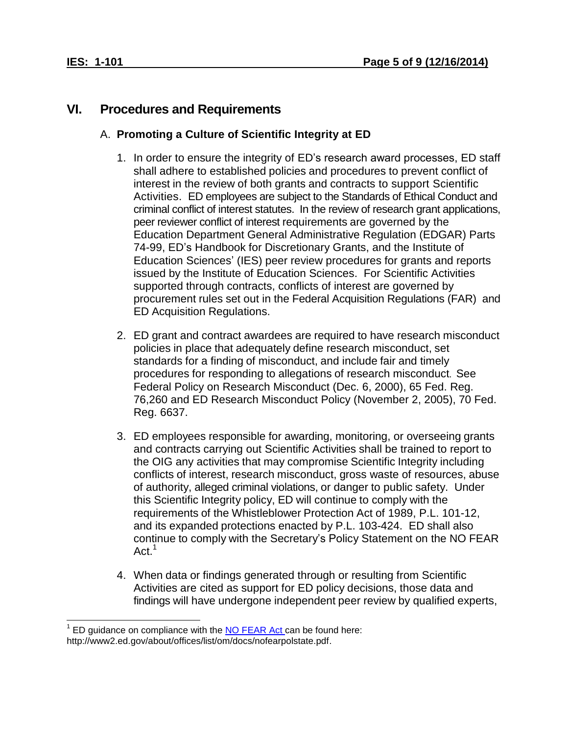## <span id="page-4-0"></span>**VI. Procedures and Requirements**

#### A. **Promoting a Culture of Scientific Integrity at ED**

- 1. In order to ensure the integrity of ED's research award processes, ED staff shall adhere to established policies and procedures to prevent conflict of interest in the review of both grants and contracts to support Scientific Activities. ED employees are subject to the Standards of Ethical Conduct and criminal conflict of interest statutes. In the review of research grant applications, peer reviewer conflict of interest requirements are governed by the Education Department General Administrative Regulation (EDGAR) Parts 74-99, ED's Handbook for Discretionary Grants, and the Institute of Education Sciences' (IES) peer review procedures for grants and reports issued by the Institute of Education Sciences. For Scientific Activities supported through contracts, conflicts of interest are governed by procurement rules set out in the Federal Acquisition Regulations (FAR) and ED Acquisition Regulations.
- 2. ED grant and contract awardees are required to have research misconduct policies in place that adequately define research misconduct, set standards for a finding of misconduct, and include fair and timely procedures for responding to allegations of research misconduct. See Federal Policy on Research Misconduct (Dec. 6, 2000), 65 Fed. Reg. 76,260 and ED Research Misconduct Policy (November 2, 2005), 70 Fed. Reg. 6637.
- 3. ED employees responsible for awarding, monitoring, or overseeing grants and contracts carrying out Scientific Activities shall be trained to report to the OIG any activities that may compromise Scientific Integrity including conflicts of interest, research misconduct, gross waste of resources, abuse of authority, alleged criminal violations, or danger to public safety. Under this Scientific Integrity policy, ED will continue to comply with the requirements of the Whistleblower Protection Act of 1989, P.L. 101-12, and its expanded protections enacted by P.L. 103-424. ED shall also continue to comply with the Secretary's Policy Statement on the NO FEAR Act.<sup>1</sup>
- 4. When data or findings generated through or resulting from Scientific Activities are cited as support for ED policy decisions, those data and findings will have undergone independent peer review by qualified experts,

 $\overline{a}$  $1$  ED guidance on compliance with the  $N$ O FEAR Act can be found here: http://www2.ed.gov/about/offices/list/om/docs/nofearpolstate.pdf.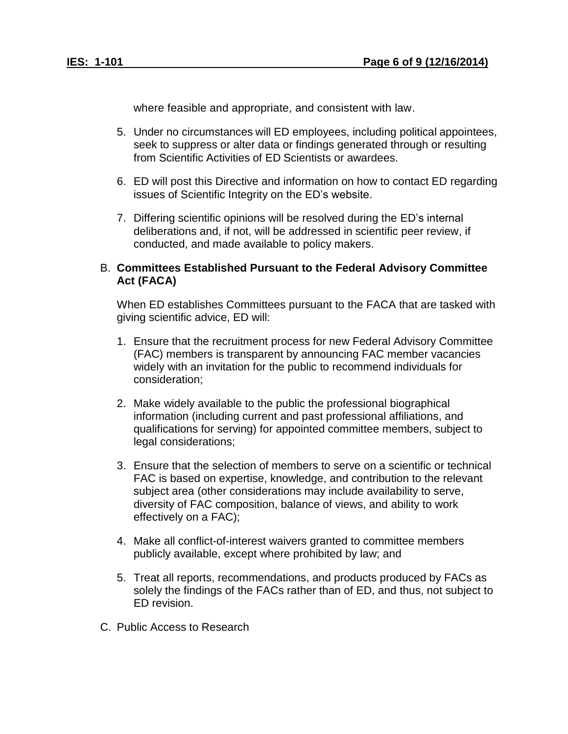where feasible and appropriate, and consistent with law.

- 5. Under no circumstances will ED employees, including political appointees, seek to suppress or alter data or findings generated through or resulting from Scientific Activities of ED Scientists or awardees.
- 6. ED will post this Directive and information on how to contact ED regarding issues of Scientific Integrity on the ED's website.
- 7. Differing scientific opinions will be resolved during the ED's internal deliberations and, if not, will be addressed in scientific peer review, if conducted, and made available to policy makers.

#### B. **Committees Established Pursuant to the Federal Advisory Committee Act (FACA)**

When ED establishes Committees pursuant to the FACA that are tasked with giving scientific advice, ED will:

- 1. Ensure that the recruitment process for new Federal Advisory Committee (FAC) members is transparent by announcing FAC member vacancies widely with an invitation for the public to recommend individuals for consideration;
- 2. Make widely available to the public the professional biographical information (including current and past professional affiliations, and qualifications for serving) for appointed committee members, subject to legal considerations;
- 3. Ensure that the selection of members to serve on a scientific or technical FAC is based on expertise, knowledge, and contribution to the relevant subject area (other considerations may include availability to serve, diversity of FAC composition, balance of views, and ability to work effectively on a FAC);
- 4. Make all conflict-of-interest waivers granted to committee members publicly available, except where prohibited by law; and
- 5. Treat all reports, recommendations, and products produced by FACs as solely the findings of the FACs rather than of ED, and thus, not subject to ED revision.
- C. Public Access to Research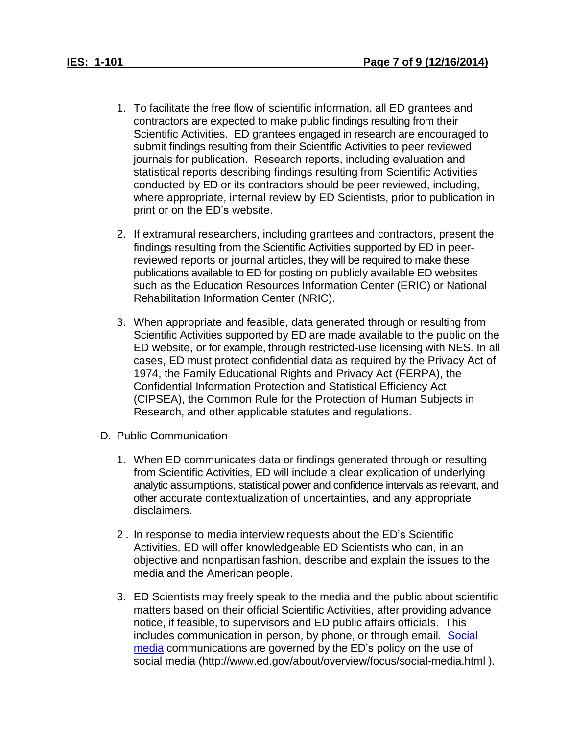- 1. To facilitate the free flow of scientific information, all ED grantees and contractors are expected to make public findings resulting from their Scientific Activities. ED grantees engaged in research are encouraged to submit findings resulting from their Scientific Activities to peer reviewed journals for publication. Research reports, including evaluation and statistical reports describing findings resulting from Scientific Activities conducted by ED or its contractors should be peer reviewed, including, where appropriate, internal review by ED Scientists, prior to publication in print or on the ED's website.
- 2. If extramural researchers, including grantees and contractors, present the findings resulting from the Scientific Activities supported by ED in peerreviewed reports or journal articles, they will be required to make these publications available to ED for posting on publicly available ED websites such as the Education Resources Information Center (ERIC) or National Rehabilitation Information Center (NRIC).
- 3. When appropriate and feasible, data generated through or resulting from Scientific Activities supported by ED are made available to the public on the ED website, or for example, through restricted-use licensing with NES. In all cases, ED must protect confidential data as required by the Privacy Act of 1974, the Family Educational Rights and Privacy Act (FERPA), the Confidential Information Protection and Statistical Efficiency Act (CIPSEA), the Common Rule for the Protection of Human Subjects in Research, and other applicable statutes and regulations.
- D. Public Communication
	- 1. When ED communicates data or findings generated through or resulting from Scientific Activities, ED will include a clear explication of underlying analytic assumptions, statistical power and confidence intervals as relevant, and other accurate contextualization of uncertainties, and any appropriate disclaimers.
	- 2 . In response to media interview requests about the ED's Scientific Activities, ED will offer knowledgeable ED Scientists who can, in an objective and nonpartisan fashion, describe and explain the issues to the media and the American people.
	- 3. ED Scientists may freely speak to the media and the public about scientific matters based on their official Scientific Activities, after providing advance notice, if feasible, to supervisors and ED public affairs officials. This includes communication in person, by phone, or through email. [Social](http://www2.ed.gov/about/overview/focus/social-media.html) [media](http://www2.ed.gov/about/overview/focus/social-media.html) communications are governed by the ED's policy on the use of social media (http://www.ed.gov/about/overview/focus/social-media.html ).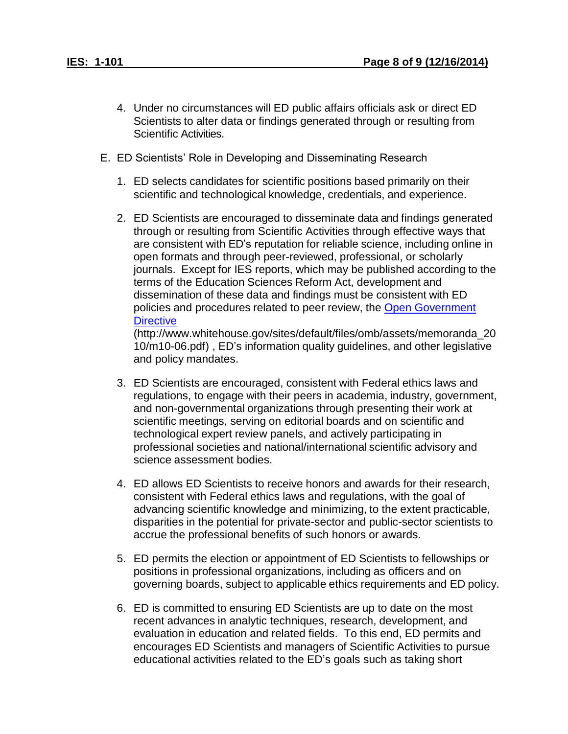- 4. Under no circumstances will ED public affairs officials ask or direct ED Scientists to alter data or findings generated through or resulting from Scientific Activities.
- E. ED Scientists' Role in Developing and Disseminating Research
	- 1. ED selects candidates for scientific positions based primarily on their scientific and technological knowledge, credentials, and experience.
	- 2. ED Scientists are encouraged to disseminate data and findings generated through or resulting from Scientific Activities through effective ways that are consistent with ED's reputation for reliable science, including online in open formats and through peer-reviewed, professional, or scholarly journals. Except for IES reports, which may be published according to the terms of the Education Sciences Reform Act, development and dissemination of these data and findings must be consistent with ED policies and procedures related to peer review, the [Open Government](http://www.whitehouse.gov/sites/default/files/omb/assets/memoranda_2010/m10-06.pdf) **[Directive](http://www.whitehouse.gov/sites/default/files/omb/assets/memoranda_2010/m10-06.pdf)**

(http://www.whitehouse.gov/sites/default/files/omb/assets/memoranda\_20 10/m10-06.pdf) , ED's information quality guidelines, and other legislative and policy mandates.

- 3. ED Scientists are encouraged, consistent with Federal ethics laws and regulations, to engage with their peers in academia, industry, government, and non-governmental organizations through presenting their work at scientific meetings, serving on editorial boards and on scientific and technological expert review panels, and actively participating in professional societies and national/international scientific advisory and science assessment bodies.
- 4. ED allows ED Scientists to receive honors and awards for their research, consistent with Federal ethics laws and regulations, with the goal of advancing scientific knowledge and minimizing, to the extent practicable, disparities in the potential for private-sector and public-sector scientists to accrue the professional benefits of such honors or awards.
- 5. ED permits the election or appointment of ED Scientists to fellowships or positions in professional organizations, including as officers and on governing boards, subject to applicable ethics requirements and ED policy.
- 6. ED is committed to ensuring ED Scientists are up to date on the most recent advances in analytic techniques, research, development, and evaluation in education and related fields. To this end, ED permits and encourages ED Scientists and managers of Scientific Activities to pursue educational activities related to the ED's goals such as taking short